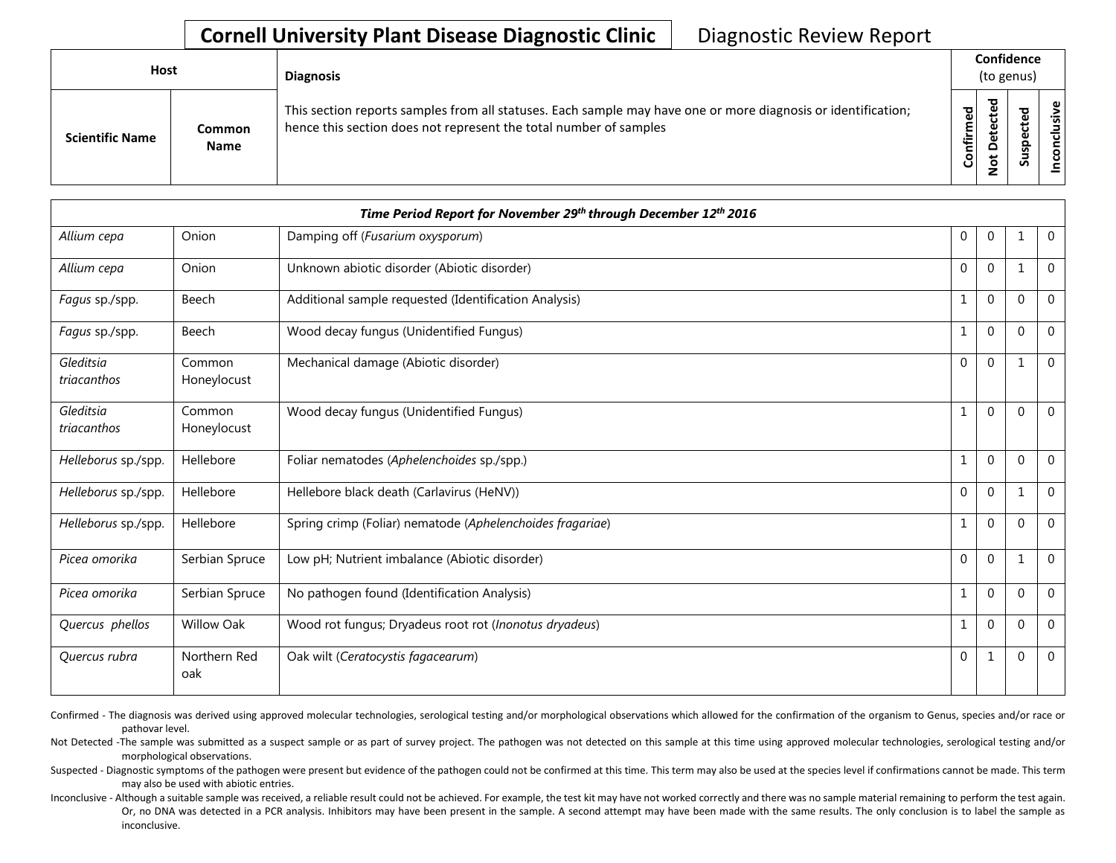## **Cornell University Plant Disease Diagnostic Clinic** | Diagnostic Review Report

| Host                   |                       | <b>Diagnosis</b>                                                                                                                                                                   |           | Confidence<br>(to genus) |        |                       |  |  |
|------------------------|-----------------------|------------------------------------------------------------------------------------------------------------------------------------------------------------------------------------|-----------|--------------------------|--------|-----------------------|--|--|
| <b>Scientific Name</b> | Common<br><b>Name</b> | This section reports samples from all statuses. Each sample may have one or more diagnosis or identification;<br>hence this section does not represent the total number of samples | Confirmed | ъ<br>Δ                   | s<br>n | usive<br>᠊ᠣ<br>c<br>g |  |  |

| Time Period Report for November 29th through December 12th 2016 |                       |                                                           |              |              |              |                |  |
|-----------------------------------------------------------------|-----------------------|-----------------------------------------------------------|--------------|--------------|--------------|----------------|--|
| Allium cepa                                                     | Onion                 | Damping off (Fusarium oxysporum)                          | 0            | $\mathbf{0}$ | $\mathbf{1}$ | $\Omega$       |  |
| Allium cepa                                                     | Onion                 | Unknown abiotic disorder (Abiotic disorder)               | $\mathbf 0$  | $\mathbf 0$  | 1            | $\mathbf 0$    |  |
| Fagus sp./spp.                                                  | Beech                 | Additional sample requested (Identification Analysis)     | $\mathbf{1}$ | $\mathbf{0}$ | $\mathbf{0}$ | $\Omega$       |  |
| Fagus sp./spp.                                                  | Beech                 | Wood decay fungus (Unidentified Fungus)                   | $\mathbf{1}$ | $\Omega$     | $\Omega$     | $\mathbf 0$    |  |
| Gleditsia<br>triacanthos                                        | Common<br>Honeylocust | Mechanical damage (Abiotic disorder)                      | $\Omega$     | $\Omega$     | $\mathbf{1}$ | $\Omega$       |  |
| Gleditsia<br>triacanthos                                        | Common<br>Honeylocust | Wood decay fungus (Unidentified Fungus)                   | $\mathbf{1}$ | $\Omega$     | $\Omega$     | $\mathbf 0$    |  |
| Helleborus sp./spp.                                             | Hellebore             | Foliar nematodes (Aphelenchoides sp./spp.)                | $\mathbf 1$  | $\mathbf 0$  | $\Omega$     | $\Omega$       |  |
| Helleborus sp./spp.                                             | Hellebore             | Hellebore black death (Carlavirus (HeNV))                 | $\mathbf 0$  | $\mathbf 0$  | 1            | $\overline{0}$ |  |
| Helleborus sp./spp.                                             | Hellebore             | Spring crimp (Foliar) nematode (Aphelenchoides fragariae) | $\mathbf{1}$ | $\mathbf 0$  | $\Omega$     | $\overline{0}$ |  |
| Picea omorika                                                   | Serbian Spruce        | Low pH; Nutrient imbalance (Abiotic disorder)             | $\mathbf 0$  | $\mathbf 0$  | 1            | $\overline{0}$ |  |
| Picea omorika                                                   | Serbian Spruce        | No pathogen found (Identification Analysis)               | $\mathbf{1}$ | $\Omega$     | $\mathbf{0}$ | $\Omega$       |  |
| Quercus phellos                                                 | <b>Willow Oak</b>     | Wood rot fungus; Dryadeus root rot (Inonotus dryadeus)    | $\mathbf{1}$ | $\Omega$     | $\Omega$     | $\Omega$       |  |
| Quercus rubra                                                   | Northern Red<br>oak   | Oak wilt (Ceratocystis fagacearum)                        | $\mathbf 0$  | $\mathbf{1}$ | $\Omega$     | $\mathbf 0$    |  |

Confirmed - The diagnosis was derived using approved molecular technologies, serological testing and/or morphological observations which allowed for the confirmation of the organism to Genus, species and/or race or pathovar level.

Not Detected -The sample was submitted as a suspect sample or as part of survey project. The pathogen was not detected on this sample at this time using approved molecular technologies, serological testing and/or morphological observations.

Suspected - Diagnostic symptoms of the pathogen were present but evidence of the pathogen could not be confirmed at this time. This term may also be used at the species level if confirmations cannot be made. This term may also be used with abiotic entries.

Inconclusive - Although a suitable sample was received, a reliable result could not be achieved. For example, the test kit may have not worked correctly and there was no sample material remaining to perform the test again. Or, no DNA was detected in a PCR analysis. Inhibitors may have been present in the sample. A second attempt may have been made with the same results. The only conclusion is to label the sample as inconclusive.